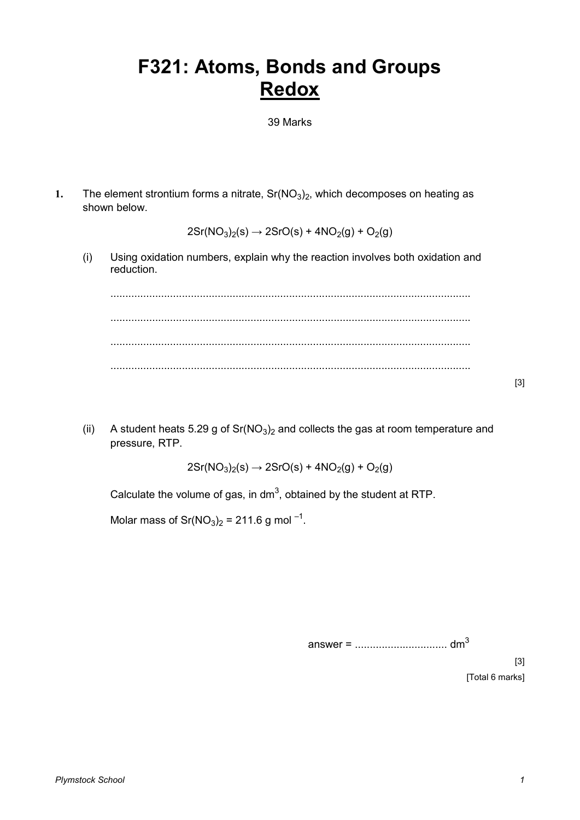## **F321: Atoms, Bonds and Groups Redox**

39 Marks

**1.** The element strontium forms a nitrate,  $Sr(NO<sub>3</sub>)<sub>2</sub>$ , which decomposes on heating as shown below.

 $2Sr(NO_3)_2(s) \rightarrow 2SrO(s) + 4NO_2(g) + O_2(g)$ 

(i) Using oxidation numbers, explain why the reaction involves both oxidation and reduction.

......................................................................................................................... ......................................................................................................................... ......................................................................................................................... .........................................................................................................................

(ii) A student heats 5.29 g of  $Sr(NO<sub>3</sub>)<sub>2</sub>$  and collects the gas at room temperature and pressure, RTP.

 $2Sr(NO<sub>3</sub>)<sub>2</sub>(s) \rightarrow 2SrO(s) + 4NO<sub>2</sub>(g) + O<sub>2</sub>(g)$ 

Calculate the volume of gas, in dm<sup>3</sup>, obtained by the student at RTP.

Molar mass of Sr( $NO<sub>3</sub>$ )<sub>2</sub> = 211.6 g mol<sup>-1</sup>.

[3] [Total 6 marks]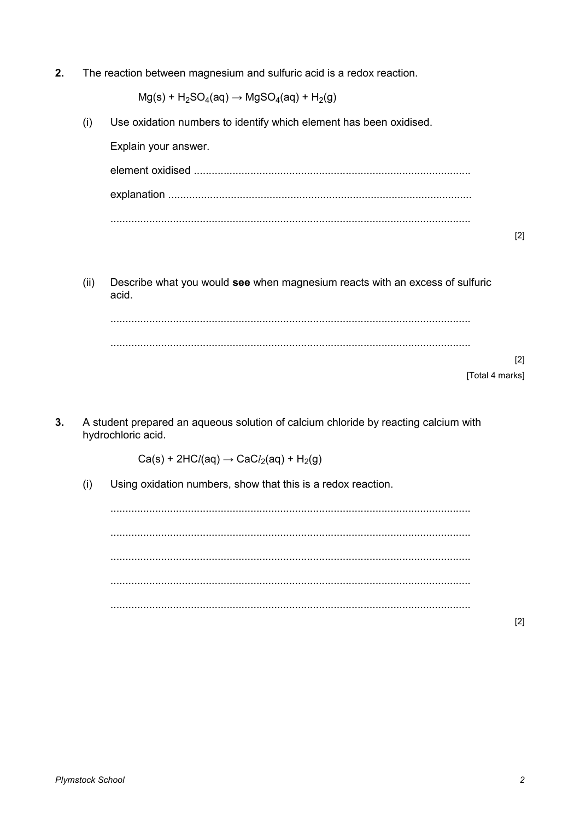$2.$ The reaction between magnesium and sulfuric acid is a redox reaction.

 $Mg(s)$  + H<sub>2</sub>SO<sub>4</sub>(aq)  $\rightarrow$  MgSO<sub>4</sub>(aq) + H<sub>2</sub>(g)

 $(i)$ Use oxidation numbers to identify which element has been oxidised.

Explain your answer.

 $[2]$ 

Describe what you would see when magnesium reacts with an excess of sulfuric  $(ii)$ acid.

 $[2]$ [Total 4 marks]

 $3.$ A student prepared an aqueous solution of calcium chloride by reacting calcium with hydrochloric acid.

 $Ca(s) + 2HCl(aq) \rightarrow CaCl<sub>2</sub>(aq) + H<sub>2</sub>(g)$ 

 $(i)$ Using oxidation numbers, show that this is a redox reaction.

 $[2]$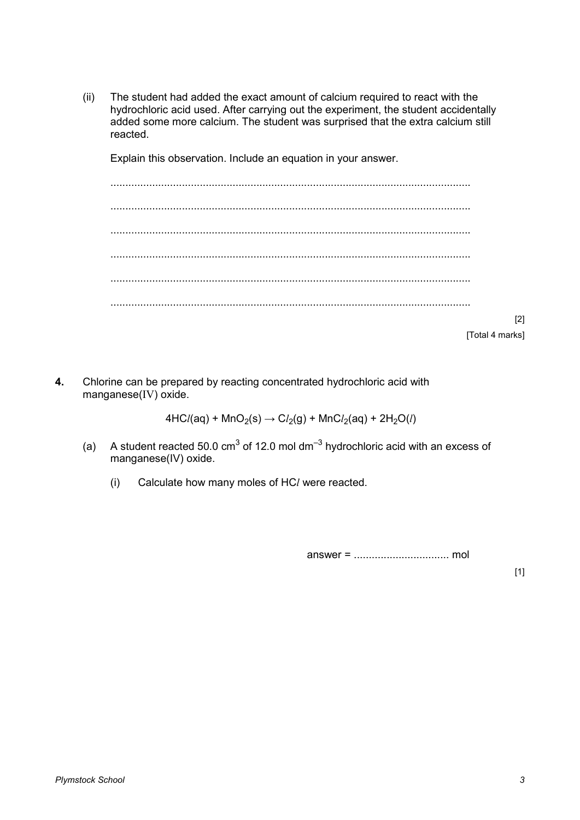(ii) The student had added the exact amount of calcium required to react with the hydrochloric acid used. After carrying out the experiment, the student accidentally added some more calcium. The student was surprised that the extra calcium still reacted.

Explain this observation. Include an equation in your answer.

| [2] |
|-----|
|     |
|     |

- [Total 4 marks]
- **4.** Chlorine can be prepared by reacting concentrated hydrochloric acid with manganese(IV) oxide.

 $4HC/(aq) + MnO_2(s) \rightarrow Cl_2(g) + MnCl_2(aq) + 2H_2O(l)$ 

- (a) A student reacted 50.0 cm<sup>3</sup> of 12.0 mol dm<sup>-3</sup> hydrochloric acid with an excess of manganese(IV) oxide.
	- (i) Calculate how many moles of HC*l* were reacted.

answer = ................................ mol

 $[1]$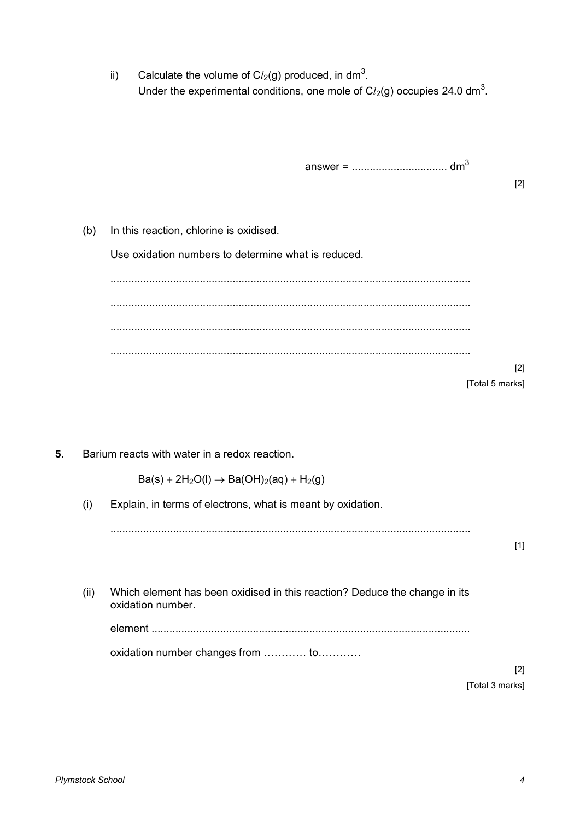ii) Calculate the volume of  $Cl<sub>2</sub>(g)$  produced, in dm<sup>3</sup>. Under the experimental conditions, one mole of  $Cl<sub>2</sub>(g)$  occupies 24.0 dm<sup>3</sup>.

answer = ................................ dm<sup>3</sup>

[2]

(b) In this reaction, chlorine is oxidised.

Use oxidation numbers to determine what is reduced.

......................................................................................................................... ......................................................................................................................... ......................................................................................................................... ......................................................................................................................... [2]

[Total 5 marks]

**5.** Barium reacts with water in a redox reaction.

 $Ba(s) + 2H<sub>2</sub>O(l) \rightarrow Ba(OH)<sub>2</sub>(aq) + H<sub>2</sub>(g)$ 

(i) Explain, in terms of electrons, what is meant by oxidation.

......................................................................................................................... [1]

(ii) Which element has been oxidised in this reaction? Deduce the change in its oxidation number.

element ...........................................................................................................

oxidation number changes from ............. to............

[2] [Total 3 marks]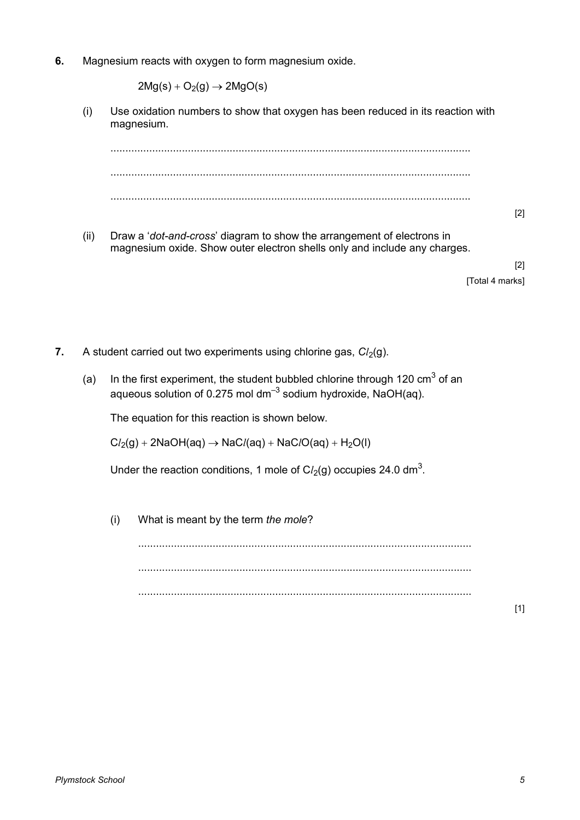**6.** Magnesium reacts with oxygen to form magnesium oxide.

 $2Mg(s) + O<sub>2</sub>(g) \rightarrow 2MgO(s)$ 

(i) Use oxidation numbers to show that oxygen has been reduced in its reaction with magnesium.

......................................................................................................................... ......................................................................................................................... ......................................................................................................................... [2]

(ii) Draw a '*dot-and-cross*' diagram to show the arrangement of electrons in magnesium oxide. Show outer electron shells only and include any charges.

> [2] [Total 4 marks]

- **7.** A student carried out two experiments using chlorine gas,  $Cl<sub>2</sub>(g)$ .
	- (a) In the first experiment, the student bubbled chlorine through 120  $\text{cm}^3$  of an aqueous solution of 0.275 mol dm<sup>-3</sup> sodium hydroxide, NaOH(aq).

The equation for this reaction is shown below.

 $Cl<sub>2</sub>(g) + 2NaOH(aq) \rightarrow NaCl(aq) + NaClO(aq) + H<sub>2</sub>O(l)$ 

Under the reaction conditions, 1 mole of  $Cl<sub>2</sub>(g)$  occupies 24.0 dm<sup>3</sup>.

(i) What is meant by the term *the mole*?

................................................................................................................ ................................................................................................................ ................................................................................................................

[1]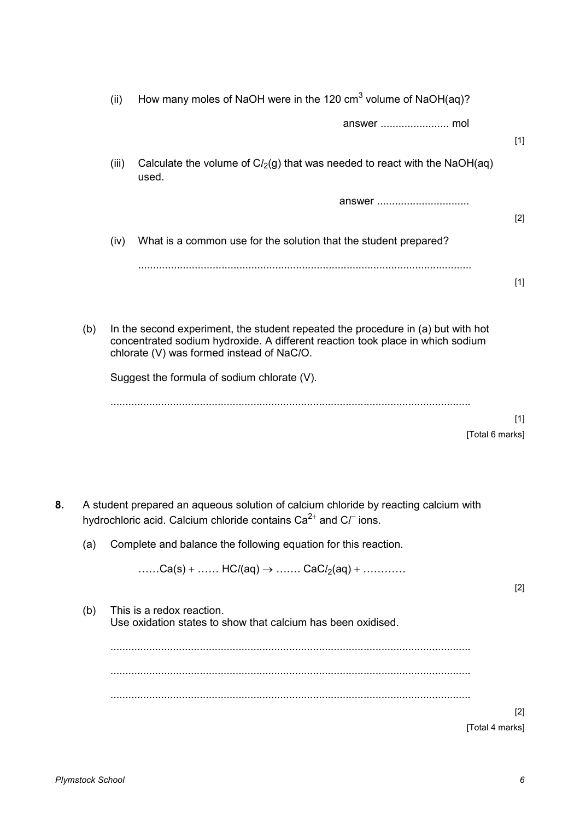|    |     | (ii)  | How many moles of NaOH were in the 120 $\text{cm}^3$ volume of NaOH(aq)?                                                                                                                                        |       |
|----|-----|-------|-----------------------------------------------------------------------------------------------------------------------------------------------------------------------------------------------------------------|-------|
|    |     |       |                                                                                                                                                                                                                 | $[1]$ |
|    |     | (iii) | Calculate the volume of $Cl2(g)$ that was needed to react with the NaOH(aq)<br>used.                                                                                                                            |       |
|    |     |       | answer                                                                                                                                                                                                          | $[2]$ |
|    |     | (iv)  | What is a common use for the solution that the student prepared?                                                                                                                                                |       |
|    |     |       |                                                                                                                                                                                                                 | $[1]$ |
|    | (b) |       | In the second experiment, the student repeated the procedure in (a) but with hot<br>concentrated sodium hydroxide. A different reaction took place in which sodium<br>chlorate (V) was formed instead of NaC/O. |       |
|    |     |       | Suggest the formula of sodium chlorate (V).                                                                                                                                                                     |       |
|    |     |       | [Total 6 marks]                                                                                                                                                                                                 | $[1]$ |
| 8. |     |       | A student prepared an aqueous solution of calcium chloride by reacting calcium with<br>hydrochloric acid. Calcium chloride contains $Ca^{2+}$ and C $\Gamma$ ions.                                              |       |
|    | (a) |       | Complete and balance the following equation for this reaction.                                                                                                                                                  |       |
|    |     |       | Ca(s) +  HCl(aq) $\rightarrow$ CaCl <sub>2</sub> (aq) +                                                                                                                                                         | $[2]$ |
|    | (b) |       | This is a redox reaction.<br>Use oxidation states to show that calcium has been oxidised.                                                                                                                       |       |
|    |     |       |                                                                                                                                                                                                                 |       |
|    |     |       |                                                                                                                                                                                                                 |       |
|    |     |       |                                                                                                                                                                                                                 |       |
|    |     |       | [Total 4 marks]                                                                                                                                                                                                 | $[2]$ |